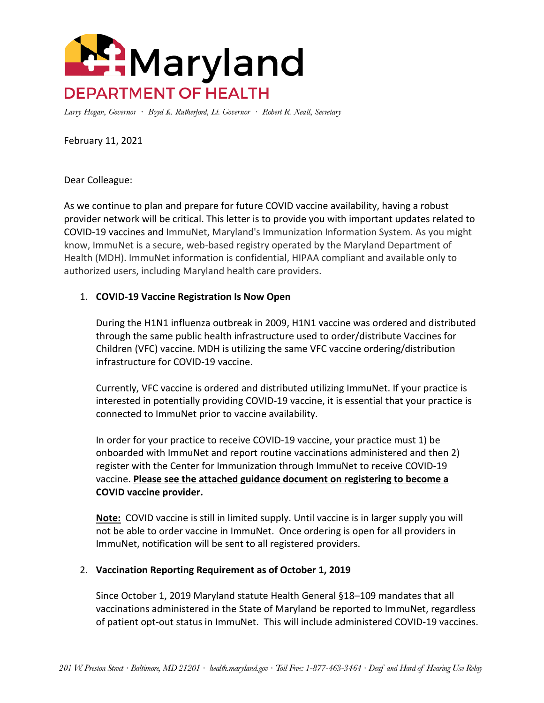

Larry Hogan, Governor · Boyd K. Rutherford, Lt. Governor · Robert R. Neall, Secretary

February 11, 2021

Dear Colleague:

As we continue to plan and prepare for future COVID vaccine availability, having a robust provider network will be critical. This letter is to provide you with important updates related to COVID-19 vaccines and ImmuNet, Maryland's Immunization Information System. As you might know, ImmuNet is a secure, web-based registry operated by the Maryland Department of Health (MDH). ImmuNet information is confidential, HIPAA compliant and available only to authorized users, [including Maryland health care providers.](http://mgaleg.maryland.gov/webmga/frmStatutesText.aspx?article=ghg§ion=18-109&ext=html&session=2019RS&tab=subject5)

## 1. **COVID-19 Vaccine Registration Is Now Open**

During the H1N1 influenza outbreak in 2009, H1N1 vaccine was ordered and distributed through the same public health infrastructure used to order/distribute Vaccines for Children (VFC) vaccine. MDH is utilizing the same VFC vaccine ordering/distribution infrastructure for COVID-19 vaccine.

Currently, VFC vaccine is ordered and distributed utilizing ImmuNet. If your practice is interested in potentially providing COVID-19 vaccine, it is essential that your practice is connected to ImmuNet prior to vaccine availability.

In order for your practice to receive COVID-19 vaccine, your practice must 1) be onboarded with ImmuNet and report routine vaccinations administered and then 2) register with the Center for Immunization through ImmuNet to receive COVID-19 vaccine. **Please see the attached guidance document on registering to become a COVID vaccine provider.**

**Note:** COVID vaccine is still in limited supply. Until vaccine is in larger supply you will not be able to order vaccine in ImmuNet. Once ordering is open for all providers in ImmuNet, notification will be sent to all registered providers.

## 2. **Vaccination Reporting Requirement as of October 1, 2019**

Since October 1, 2019 Maryland statute Health General [§18–109](http://mgaleg.maryland.gov/webmga/frmStatutesText.aspx?article=ghg§ion=18-109&ext=html&session=2019RS&tab=subject5) mandates that all vaccinations administered in the State of Maryland be reported to ImmuNet, regardless of patient opt-out status in ImmuNet. This will include administered COVID-19 vaccines.